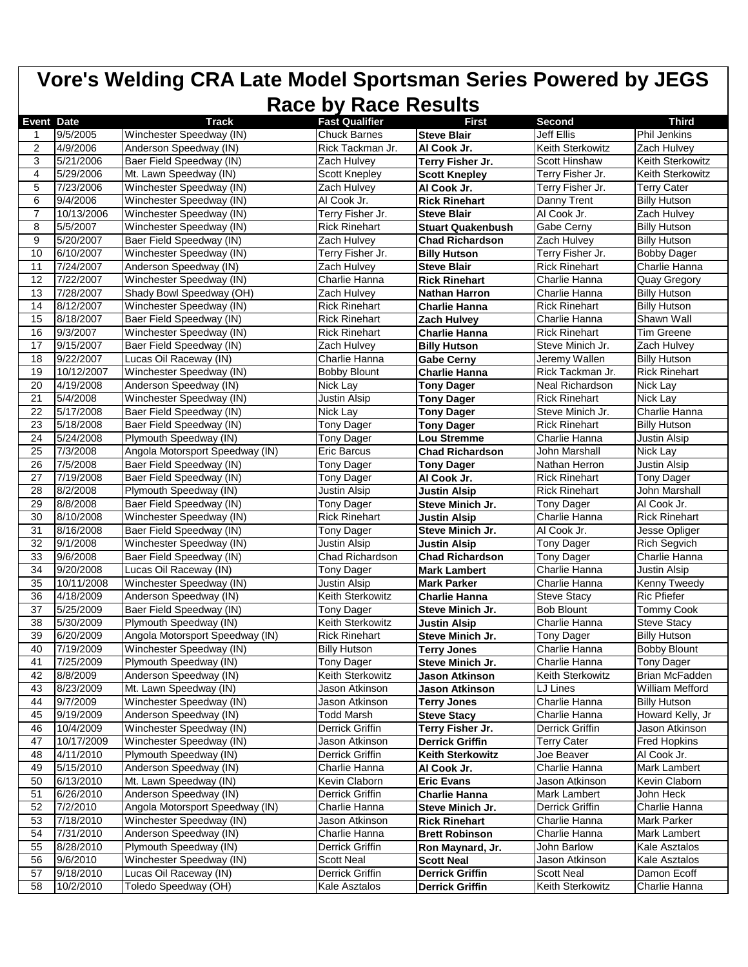| Vore's Welding CRA Late Model Sportsman Series Powered by JEGS<br>Race by Race Results |            |                                 |                         |                          |                      |                      |  |
|----------------------------------------------------------------------------------------|------------|---------------------------------|-------------------------|--------------------------|----------------------|----------------------|--|
|                                                                                        |            |                                 |                         |                          |                      |                      |  |
| <b>Event Date</b>                                                                      |            | <b>Track</b>                    | <b>Fast Qualifier</b>   | First                    | <b>Second</b>        | <b>Third</b>         |  |
|                                                                                        | 9/5/2005   | Winchester Speedway (IN)        | <b>Chuck Barnes</b>     | <b>Steve Blair</b>       | <b>Jeff Ellis</b>    | <b>Phil Jenkins</b>  |  |
| $\overline{2}$                                                                         | 4/9/2006   | Anderson Speedway (IN)          | Rick Tackman Jr.        | Al Cook Jr.              | Keith Sterkowitz     | Zach Hulvey          |  |
| 3                                                                                      | 5/21/2006  | Baer Field Speedway (IN)        | Zach Hulvey             | Terry Fisher Jr.         | Scott Hinshaw        | Keith Sterkowitz     |  |
| 4                                                                                      | 5/29/2006  | Mt. Lawn Speedway (IN)          | Scott Knepley           | <b>Scott Knepley</b>     | Terry Fisher Jr.     | Keith Sterkowitz     |  |
| 5                                                                                      | 7/23/2006  | Winchester Speedway (IN)        | Zach Hulvey             | Al Cook Jr.              | Terry Fisher Jr.     | Terry Cater          |  |
| 6                                                                                      | 9/4/2006   | Winchester Speedway (IN)        | Al Cook Jr.             | <b>Rick Rinehart</b>     | Danny Trent          | <b>Billy Hutson</b>  |  |
| $\overline{7}$                                                                         | 10/13/2006 | Winchester Speedway (IN)        | Terry Fisher Jr.        | <b>Steve Blair</b>       | Al Cook Jr.          | Zach Hulvey          |  |
| 8                                                                                      | 5/5/2007   | Winchester Speedway (IN)        | <b>Rick Rinehart</b>    | <b>Stuart Quakenbush</b> | Gabe Cerny           | <b>Billy Hutson</b>  |  |
| 9                                                                                      | 5/20/2007  | Baer Field Speedway (IN)        | Zach Hulvey             | <b>Chad Richardson</b>   | Zach Hulvey          | <b>Billy Hutson</b>  |  |
| 10                                                                                     | 6/10/2007  | Winchester Speedway (IN)        | Terry Fisher Jr.        | <b>Billy Hutson</b>      | Terry Fisher Jr.     | <b>Bobby Dager</b>   |  |
| 11                                                                                     | 7/24/2007  | Anderson Speedway (IN)          | Zach Hulvey             | <b>Steve Blair</b>       | <b>Rick Rinehart</b> | Charlie Hanna        |  |
| 12                                                                                     | 7/22/2007  | Winchester Speedway (IN)        | Charlie Hanna           | <b>Rick Rinehart</b>     | Charlie Hanna        | Quay Gregory         |  |
| 13                                                                                     | 7/28/2007  | Shady Bowl Speedway (OH)        | Zach Hulvey             | <b>Nathan Harron</b>     | Charlie Hanna        | <b>Billy Hutson</b>  |  |
| 14                                                                                     | 8/12/2007  | Winchester Speedway (IN)        | <b>Rick Rinehart</b>    | <b>Charlie Hanna</b>     | <b>Rick Rinehart</b> | <b>Billy Hutson</b>  |  |
| 15                                                                                     | 8/18/2007  | Baer Field Speedway (IN)        | <b>Rick Rinehart</b>    | Zach Hulvey              | Charlie Hanna        | Shawn Wall           |  |
| 16                                                                                     | 9/3/2007   | Winchester Speedway (IN)        | <b>Rick Rinehart</b>    | Charlie Hanna            | <b>Rick Rinehart</b> | Tim Greene           |  |
| 17                                                                                     | 9/15/2007  | Baer Field Speedway (IN)        | Zach Hulvey             | <b>Billy Hutson</b>      | Steve Minich Jr.     | Zach Hulvey          |  |
| 18                                                                                     | 9/22/2007  | Lucas Oil Raceway (IN)          | Charlie Hanna           | <b>Gabe Cerny</b>        | Jeremy Wallen        | <b>Billy Hutson</b>  |  |
| 19                                                                                     | 10/12/2007 | Winchester Speedway (IN)        | <b>Bobby Blount</b>     | Charlie Hanna            | Rick Tackman Jr.     | <b>Rick Rinehart</b> |  |
| 20                                                                                     | 4/19/2008  | Anderson Speedway (IN)          | Nick Lay                | <b>Tony Dager</b>        | Neal Richardson      | Nick Lay             |  |
| 21                                                                                     | 5/4/2008   | Winchester Speedway (IN)        | <b>Justin Alsip</b>     | <b>Tony Dager</b>        | <b>Rick Rinehart</b> | Nick Lav             |  |
| 22                                                                                     | 5/17/2008  | Baer Field Speedway (IN)        | Nick Lay                | <b>Tony Dager</b>        | Steve Minich Jr.     | Charlie Hanna        |  |
| 23                                                                                     | 5/18/2008  | Baer Field Speedway (IN)        | <b>Tony Dager</b>       | <b>Tony Dager</b>        | <b>Rick Rinehart</b> | <b>Billy Hutson</b>  |  |
| 24                                                                                     | 5/24/2008  | Plymouth Speedway (IN)          | <b>Tony Dager</b>       | Lou Stremme              | Charlie Hanna        | Justin Alsip         |  |
| 25                                                                                     | 7/3/2008   | Angola Motorsport Speedway (IN) | <b>Eric Barcus</b>      | <b>Chad Richardson</b>   | John Marshall        | Nick Lay             |  |
| 26                                                                                     | 7/5/2008   | Baer Field Speedway (IN)        | Tony Dager              | <b>Tony Dager</b>        | Nathan Herron        | Justin Alsip         |  |
| 27                                                                                     | 7/19/2008  | Baer Field Speedway (IN)        | <b>Tony Dager</b>       | Al Cook Jr.              | <b>Rick Rinehart</b> | <b>Tony Dager</b>    |  |
| 28                                                                                     | 8/2/2008   | Plymouth Speedway (IN)          | <b>Justin Alsip</b>     | <b>Justin Alsip</b>      | <b>Rick Rinehart</b> | John Marshall        |  |
| 29                                                                                     | 8/8/2008   | Baer Field Speedway (IN)        | <b>Tony Dager</b>       | Steve Minich Jr.         | <b>Tony Dager</b>    | Al Cook Jr.          |  |
| 30                                                                                     | 8/10/2008  | Winchester Speedway (IN)        | <b>Rick Rinehart</b>    | <b>Justin Alsip</b>      | Charlie Hanna        | <b>Rick Rinehart</b> |  |
| 31                                                                                     | 8/16/2008  | Baer Field Speedway (IN)        | <b>Tony Dager</b>       | Steve Minich Jr.         | Al Cook Jr.          | Jesse Opliger        |  |
| 32                                                                                     | 9/1/2008   | Winchester Speedway (IN)        | <b>Justin Alsip</b>     | <b>Justin Alsip</b>      | Tony Dager           | <b>Rich Segvich</b>  |  |
| 33                                                                                     | 9/6/2008   | Baer Field Speedway (IN)        | Chad Richardson         | <b>Chad Richardson</b>   | <b>Tony Dager</b>    | Charlie Hanna        |  |
| 34                                                                                     | 9/20/2008  | Lucas Oil Raceway (IN)          | <b>Tony Dager</b>       | <b>Mark Lambert</b>      | Charlie Hanna        | <b>Justin Alsip</b>  |  |
| 35                                                                                     | 10/11/2008 | Winchester Speedway (IN)        | <b>Justin Alsip</b>     | <b>Mark Parker</b>       | Charlie Hanna        | Kenny Tweedy         |  |
| 36                                                                                     | 4/18/2009  | Anderson Speedway (IN)          | Keith Sterkowitz        | Charlie Hanna            | <b>Steve Stacy</b>   | Ric Pfiefer          |  |
| 37                                                                                     | 5/25/2009  | Baer Field Speedway (IN)        | <b>Tony Dager</b>       | Steve Minich Jr.         | <b>Bob Blount</b>    | Tommy Cook           |  |
| 38                                                                                     | 5/30/2009  | Plymouth Speedway (IN)          | <b>Keith Sterkowitz</b> | <b>Justin Alsip</b>      | Charlie Hanna        | <b>Steve Stacy</b>   |  |
| 39                                                                                     | 6/20/2009  | Angola Motorsport Speedway (IN) | <b>Rick Rinehart</b>    | Steve Minich Jr.         | <b>Tony Dager</b>    | <b>Billy Hutson</b>  |  |
| 40                                                                                     | 7/19/2009  | Winchester Speedway (IN)        | <b>Billy Hutson</b>     | <b>Terry Jones</b>       | Charlie Hanna        | <b>Bobby Blount</b>  |  |
| 41                                                                                     | 7/25/2009  | Plymouth Speedway (IN)          | Tony Dager              | Steve Minich Jr.         | Charlie Hanna        | Tony Dager           |  |
| 42                                                                                     | 8/8/2009   | Anderson Speedway (IN)          | Keith Sterkowitz        | Jason Atkinson           | Keith Sterkowitz     | Brian McFadden       |  |
| 43                                                                                     | 8/23/2009  | Mt. Lawn Speedway (IN)          | Jason Atkinson          | Jason Atkinson           | LJ Lines             | William Mefford      |  |
| 44                                                                                     | 9/7/2009   | Winchester Speedway (IN)        | Jason Atkinson          | <b>Terry Jones</b>       | Charlie Hanna        | <b>Billy Hutson</b>  |  |
| 45                                                                                     | 9/19/2009  | Anderson Speedway (IN)          | <b>Todd Marsh</b>       | <b>Steve Stacy</b>       | Charlie Hanna        | Howard Kelly, Jr     |  |
| 46                                                                                     | 10/4/2009  | Winchester Speedway (IN)        | Derrick Griffin         | Terry Fisher Jr.         | Derrick Griffin      | Jason Atkinson       |  |
| 47                                                                                     | 10/17/2009 | Winchester Speedway (IN)        | Jason Atkinson          | <b>Derrick Griffin</b>   | <b>Terry Cater</b>   | Fred Hopkins         |  |
| 48                                                                                     | 4/11/2010  | Plymouth Speedway (IN)          | Derrick Griffin         | <b>Keith Sterkowitz</b>  | Joe Beaver           | Al Cook Jr.          |  |
| 49                                                                                     | 5/15/2010  | Anderson Speedway (IN)          | Charlie Hanna           | Al Cook Jr.              | Charlie Hanna        | Mark Lambert         |  |
| 50                                                                                     | 6/13/2010  | Mt. Lawn Speedway (IN)          | Kevin Claborn           | <b>Eric Evans</b>        | Jason Atkinson       | Kevin Claborn        |  |
| 51                                                                                     | 6/26/2010  | Anderson Speedway (IN)          | Derrick Griffin         | <b>Charlie Hanna</b>     | Mark Lambert         | John Heck            |  |
| 52                                                                                     | 7/2/2010   | Angola Motorsport Speedway (IN) | Charlie Hanna           | Steve Minich Jr.         | Derrick Griffin      | Charlie Hanna        |  |
| 53                                                                                     | 7/18/2010  | Winchester Speedway (IN)        | Jason Atkinson          | <b>Rick Rinehart</b>     | Charlie Hanna        | Mark Parker          |  |
| 54                                                                                     | 7/31/2010  | Anderson Speedway (IN)          |                         |                          |                      | Mark Lambert         |  |
|                                                                                        |            | Plymouth Speedway (IN)          | Charlie Hanna           | <b>Brett Robinson</b>    | Charlie Hanna        |                      |  |
| 55                                                                                     | 8/28/2010  |                                 | Derrick Griffin         | Ron Maynard, Jr.         | John Barlow          | Kale Asztalos        |  |
| 56                                                                                     | 9/6/2010   | Winchester Speedway (IN)        | <b>Scott Neal</b>       | <b>Scott Neal</b>        | Jason Atkinson       | Kale Asztalos        |  |
| 57                                                                                     | 9/18/2010  | Lucas Oil Raceway (IN)          | Derrick Griffin         | <b>Derrick Griffin</b>   | <b>Scott Neal</b>    | Damon Ecoff          |  |
| 58                                                                                     | 10/2/2010  | Toledo Speedway (OH)            | Kale Asztalos           | <b>Derrick Griffin</b>   | Keith Sterkowitz     | Charlie Hanna        |  |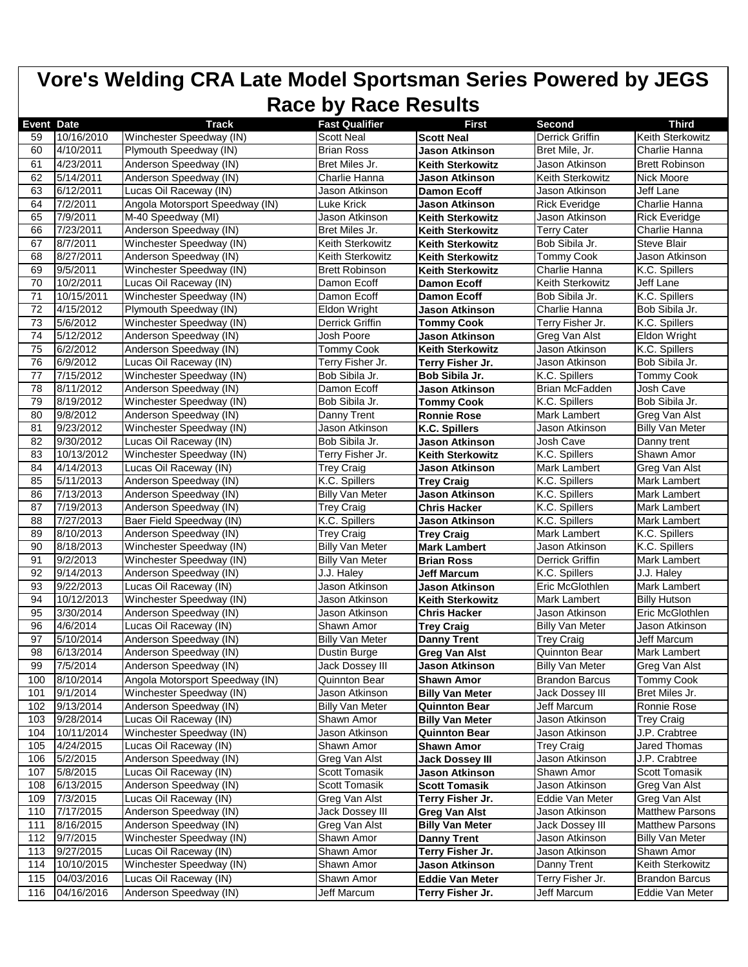|                   |                        |                                                       | <b>Race by Race Results</b>        |                                                    |                                          |                               |
|-------------------|------------------------|-------------------------------------------------------|------------------------------------|----------------------------------------------------|------------------------------------------|-------------------------------|
| <b>Event Date</b> |                        | <b>Track</b>                                          | <b>Fast Qualifier</b>              | First                                              | Second                                   | <b>Third</b>                  |
| 59                | 10/16/2010             | Winchester Speedway (IN)<br>Plymouth Speedway (IN)    | <b>Scott Neal</b>                  | <b>Scott Neal</b>                                  | <b>Derrick Griffin</b><br>Bret Mile, Jr. | Keith Sterkowitz              |
| 60                | 4/10/2011              |                                                       | <b>Brian Ross</b>                  | <b>Jason Atkinson</b>                              |                                          | Charlie Hanna                 |
| 61                | 4/23/2011              | Anderson Speedway (IN)<br>Anderson Speedway (IN)      | Bret Miles Jr.                     | <b>Keith Sterkowitz</b>                            | Jason Atkinson<br>Keith Sterkowitz       | <b>Brett Robinson</b>         |
| 62                | 5/14/2011              |                                                       | Charlie Hanna                      | Jason Atkinson                                     |                                          | Nick Moore<br>Jeff Lane       |
| 63<br>64          | 6/12/2011<br>7/2/2011  | Lucas Oil Raceway (IN)                                | Jason Atkinson<br>Luke Krick       | <b>Damon Ecoff</b>                                 | Jason Atkinson                           | Charlie Hanna                 |
| 65                | 7/9/2011               | Angola Motorsport Speedway (IN)<br>M-40 Speedway (MI) | Jason Atkinson                     | <b>Jason Atkinson</b>                              | Rick Everidge<br>Jason Atkinson          | <b>Rick Everidge</b>          |
| 66                | 7/23/2011              | Anderson Speedway (IN)                                | Bret Miles Jr.                     | <b>Keith Sterkowitz</b><br><b>Keith Sterkowitz</b> | <b>Terry Cater</b>                       | Charlie Hanna                 |
| 67                | 8/7/2011               | Winchester Speedway (IN)                              | Keith Sterkowitz                   |                                                    | Bob Sibila Jr.                           | <b>Steve Blair</b>            |
| 68                | 8/27/2011              | Anderson Speedway (IN)                                | Keith Sterkowitz                   | <b>Keith Sterkowitz</b>                            | <b>Tommy Cook</b>                        | Jason Atkinson                |
| 69                | 9/5/2011               | Winchester Speedway (IN)                              | <b>Brett Robinson</b>              | <b>Keith Sterkowitz</b><br><b>Keith Sterkowitz</b> | Charlie Hanna                            | K.C. Spillers                 |
| 70                | 10/2/2011              | Lucas Oil Raceway (IN)                                | Damon Ecoff                        |                                                    | <b>Keith Sterkowitz</b>                  | Jeff Lane                     |
| 71                | 10/15/2011             | Winchester Speedway (IN)                              | Damon Ecoff                        | <b>Damon Ecoff</b>                                 | Bob Sibila Jr.                           | K.C. Spillers                 |
| 72                | 4/15/2012              | Plymouth Speedway (IN)                                | Eldon Wright                       | <b>Damon Ecoff</b>                                 | Charlie Hanna                            | Bob Sibila Jr.                |
| 73                | 5/6/2012               | Winchester Speedway (IN)                              |                                    | Jason Atkinson                                     | Terry Fisher Jr.                         | K.C. Spillers                 |
| 74                | 5/12/2012              |                                                       | Derrick Griffin<br>Josh Poore      | <b>Tommy Cook</b>                                  |                                          |                               |
| 75                | 6/2/2012               | Anderson Speedway (IN)<br>Anderson Speedway (IN)      |                                    | <b>Jason Atkinson</b><br><b>Keith Sterkowitz</b>   | Greg Van Alst<br>Jason Atkinson          | Eldon Wright<br>K.C. Spillers |
|                   |                        |                                                       | <b>Tommy Cook</b>                  |                                                    |                                          |                               |
| 76<br>77          | 6/9/2012               | Lucas Oil Raceway (IN)                                | Terry Fisher Jr.<br>Bob Sibila Jr. | Terry Fisher Jr.                                   | Jason Atkinson                           | Bob Sibila Jr.                |
|                   | 7/15/2012<br>8/11/2012 | Winchester Speedway (IN)                              |                                    | Bob Sibila Jr.                                     | K.C. Spillers                            | <b>Tommy Cook</b>             |
| 78                |                        | Anderson Speedway (IN)                                | Damon Ecoff                        | Jason Atkinson                                     | Brian McFadden                           | Josh Cave                     |
| 79                | 8/19/2012              | Winchester Speedway (IN)                              | Bob Sibila Jr.                     | <b>Tommy Cook</b>                                  | K.C. Spillers                            | Bob Sibila Jr.                |
| 80                | 9/8/2012               | Anderson Speedway (IN)                                | Danny Trent                        | <b>Ronnie Rose</b>                                 | Mark Lambert                             | Greg Van Alst                 |
| 81                | 9/23/2012              | Winchester Speedway (IN)                              | Jason Atkinson                     | K.C. Spillers                                      | Jason Atkinson                           | <b>Billy Van Meter</b>        |
| 82                | 9/30/2012              | Lucas Oil Raceway (IN)                                | Bob Sibila Jr.                     | Jason Atkinson                                     | Josh Cave                                | Danny trent                   |
| 83                | 10/13/2012             | Winchester Speedway (IN)                              | Terry Fisher Jr.                   | <b>Keith Sterkowitz</b>                            | K.C. Spillers                            | Shawn Amor                    |
| 84                | 4/14/2013              | Lucas Oil Raceway (IN)                                | Trey Craig                         | Jason Atkinson                                     | Mark Lambert                             | Greg Van Alst                 |
| 85                | 5/11/2013              | Anderson Speedway (IN)                                | K.C. Spillers                      | <b>Trey Craig</b>                                  | K.C. Spillers                            | Mark Lambert                  |
| 86                | 7/13/2013              | Anderson Speedway (IN)                                | <b>Billy Van Meter</b>             | <b>Jason Atkinson</b>                              | K.C. Spillers                            | Mark Lambert                  |
| 87                | 7/19/2013              | Anderson Speedway (IN)                                | <b>Trey Craig</b>                  | <b>Chris Hacker</b>                                | K.C. Spillers                            | Mark Lambert                  |
| 88                | 7/27/2013              | Baer Field Speedway (IN)                              | K.C. Spillers                      | <b>Jason Atkinson</b>                              | K.C. Spillers                            | Mark Lambert                  |
| 89                | 8/10/2013              | Anderson Speedway (IN)                                | Trey Craig                         | <b>Trey Craig</b>                                  | <b>Mark Lambert</b>                      | K.C. Spillers                 |
| 90                | 8/18/2013              | Winchester Speedway (IN)                              | <b>Billy Van Meter</b>             | <b>Mark Lambert</b>                                | Jason Atkinson                           | K.C. Spillers                 |
| 91                | 9/2/2013               | Winchester Speedway (IN)                              | <b>Billy Van Meter</b>             | <b>Brian Ross</b>                                  | Derrick Griffin                          | Mark Lambert                  |
| 92                | 9/14/2013              | Anderson Speedway (IN)                                | J.J. Haley                         | <b>Jeff Marcum</b>                                 | K.C. Spillers                            | J.J. Haley                    |
| 93                | 9/22/2013              | Lucas Oil Raceway (IN)                                | Jason Atkinson                     | <b>Jason Atkinson</b>                              | Eric McGlothlen                          | <b>Mark Lambert</b>           |
| 94                | 10/12/2013             | Winchester Speedway (IN)                              | Jason Atkinson                     | <b>Keith Sterkowitz</b>                            | Mark Lambert                             | <b>Billy Hutson</b>           |
| 95                | 3/30/2014              | Anderson Speedway (IN)                                | Jason Atkinson                     | <b>Chris Hacker</b>                                | Jason Atkinson                           | <b>Eric McGlothlen</b>        |
| 96                | 4/6/2014               | Lucas Oil Raceway (IN)                                | Shawn Amor                         | <b>Trey Craig</b>                                  | <b>Billy Van Meter</b>                   | Jason Atkinson                |
| 97                | 5/10/2014              | Anderson Speedway (IN)                                | <b>Billy Van Meter</b>             | <b>Danny Trent</b>                                 | <b>Trey Craig</b>                        | Jeff Marcum                   |
| 98                | 6/13/2014              | Anderson Speedway (IN)                                | Dustin Burge                       | <b>Greg Van Alst</b>                               | Quinnton Bear                            | Mark Lambert                  |
| 99                | 7/5/2014               | Anderson Speedway (IN)                                | Jack Dossey III                    | Jason Atkinson                                     | <b>Billy Van Meter</b>                   | Greg Van Alst                 |
| 100               | 8/10/2014              | Angola Motorsport Speedway (IN)                       | Quinnton Bear                      | <b>Shawn Amor</b>                                  | <b>Brandon Barcus</b>                    | <b>Tommy Cook</b>             |
| 101               | 9/1/2014               | Winchester Speedway (IN)                              | Jason Atkinson                     | <b>Billy Van Meter</b>                             | Jack Dossey III                          | Bret Miles Jr.                |
| 102               | 9/13/2014              | Anderson Speedway (IN)                                | <b>Billy Van Meter</b>             | <b>Quinnton Bear</b>                               | Jeff Marcum                              | Ronnie Rose                   |
| 103               | 9/28/2014              | Lucas Oil Raceway (IN)                                | Shawn Amor                         | <b>Billy Van Meter</b>                             | Jason Atkinson                           | Trey Craig                    |
| 104               | 10/11/2014             | Winchester Speedway (IN)                              | Jason Atkinson                     | <b>Quinnton Bear</b>                               | Jason Atkinson                           | J.P. Crabtree                 |
| 105               | 4/24/2015              | Lucas Oil Raceway (IN)                                | Shawn Amor                         | <b>Shawn Amor</b>                                  | <b>Trey Craig</b>                        | Jared Thomas                  |
| 106               | 5/2/2015               | Anderson Speedway (IN)                                | Greg Van Alst                      | <b>Jack Dossey III</b>                             | Jason Atkinson                           | J.P. Crabtree                 |
| 107               | 5/8/2015               | Lucas Oil Raceway (IN)                                | <b>Scott Tomasik</b>               | Jason Atkinson                                     | Shawn Amor                               | Scott Tomasik                 |
| 108               | 6/13/2015              | Anderson Speedway (IN)                                | <b>Scott Tomasik</b>               | <b>Scott Tomasik</b>                               | Jason Atkinson                           | Greg Van Alst                 |
| 109               | 7/3/2015               | Lucas Oil Raceway (IN)                                | Greg Van Alst                      | Terry Fisher Jr.                                   | Eddie Van Meter                          | Greg Van Alst                 |
| 110               | 7/17/2015              | Anderson Speedway (IN)                                | Jack Dossey III                    | <b>Greg Van Alst</b>                               | Jason Atkinson                           | <b>Matthew Parsons</b>        |
| 111               | 8/16/2015              | Anderson Speedway (IN)                                | Greg Van Alst                      | <b>Billy Van Meter</b>                             | Jack Dossey III                          | <b>Matthew Parsons</b>        |
| 112               | 9/7/2015               | Winchester Speedway (IN)                              | Shawn Amor                         | <b>Danny Trent</b>                                 | Jason Atkinson                           | <b>Billy Van Meter</b>        |
| 113               | 9/27/2015              | Lucas Oil Raceway (IN)                                | Shawn Amor                         | Terry Fisher Jr.                                   | Jason Atkinson                           | Shawn Amor                    |
| 114               | 10/10/2015             | Winchester Speedway (IN)                              | Shawn Amor                         | Jason Atkinson                                     | Danny Trent                              | Keith Sterkowitz              |
| 115               | 04/03/2016             | Lucas Oil Raceway (IN)                                | Shawn Amor                         | <b>Eddie Van Meter</b>                             | Terry Fisher Jr.                         | <b>Brandon Barcus</b>         |
| 116               | 04/16/2016             | Anderson Speedway (IN)                                | Jeff Marcum                        | Terry Fisher Jr.                                   | Jeff Marcum                              | Eddie Van Meter               |
|                   |                        |                                                       |                                    |                                                    |                                          |                               |